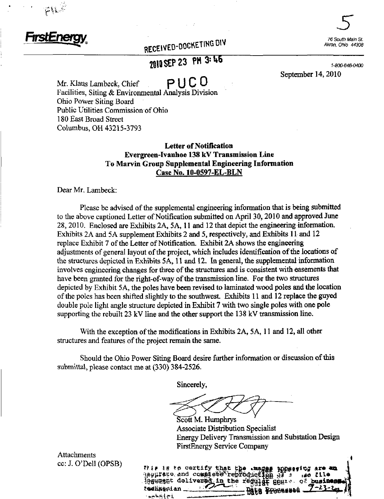

H^-

RECEIVED-DOUNE TING DIV COMPARE ANONE ANONE ANONE ON A ANONE ON A SUB

## 2BIQ SEP 23 PM 3: 46

 $5$ 

September 14,2010

Mr. Klaus Lambeck, Chief  $P \cup C$  0 Facilities, Siting & Environmental Analysis Division Ohio Power Siting Board Public Utilities Commission of Ohio 180 East Broad Street Columbus, OH 43215-3793

## Letter of Notification Evergreen-Ivanhoe 138 kV Transmission Line To Marvin Group Supplemental Engineering Information Case No. 10-0597-EL-BLN

Dear Mr, Lambeck:

Please be advised of the supplemental engineering information that is being submitted to the above captioned Letter of Notification submitted on April 30,2010 and approved June 28, 2010. Enclosed are Exhibits 2A, 5A, 11 and 12 that depict the engineering information. Exhibits 2A and 5A supplement Exhibits 2 and 5, respectively, and Exhibits 11 and 12 replace Exhibit 7 of die Letter of Notification. Exhibit 2A shows the engineering adjustments of general layout of the project, which includes identification of the locations of the structures depicted in Exhibits 5A, 11 and 12. In general, the supplemental information involves engineering changes for three of the structures and is consistent with easements that have been granted for the right-of-way of the transmission line. For the two structures depicted by Exhibit 5A, the poles have been revised to laminated wood poles and the location of the poles has been shifted slightly to the southwest. Exhibits 11 and 12 replace the guyed double pole light angle structure depicted in Exhibit 7 with two single poles with one pole supporting the rebuilt  $23 \text{ kV}$  line and the other support the 138 kV transmission line.

With the exception of the modifications in Exhibits 2A, 5A, 11 and 12, all other structures and features of the project remain the same.

Should the Ohio Power Siting Board desire further information or discussion of this submittal, please contact me at (330) 384-2526.

Sincerely,

Scott M. Humphrys Associate Distribution Specialist Energy Delivery Transmission and Substation Design FirstEnergy Service Company

Attachments cc: J. O'Dell (OPSB)

vie is to certify that the -mages ippearing are an \eurate and commiete rebroduction  $J^T$  s ,40 Cite legunsut delivered in the requist goure of business lechwedian -**LSIMMMO**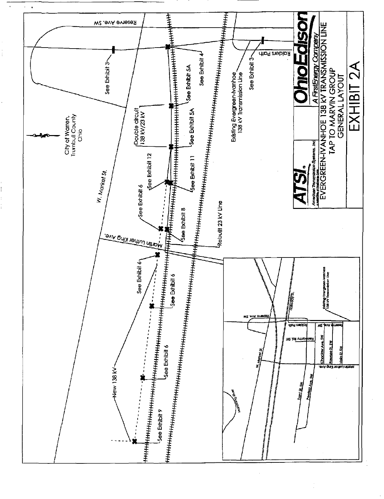

 $\frac{1}{4}$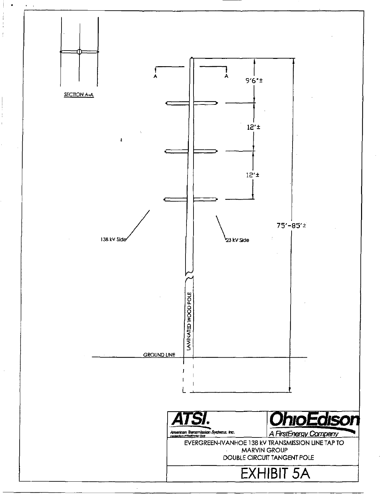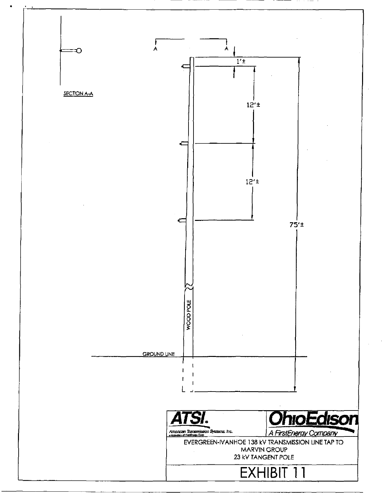